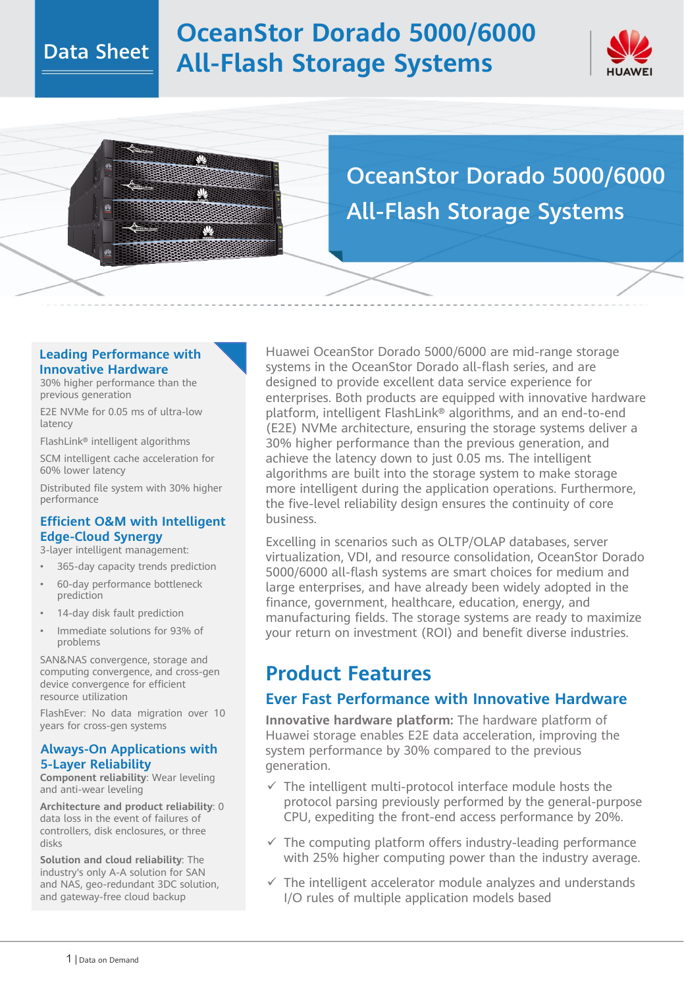### Data Sheet

# **OceanStor Dorado 5000/6000 All-Flash Storage Systems**



OceanStor Dorado 5000/6000 All-Flash Storage Systems

#### **Leading Performance with Innovative Hardware**

Ŵ.

 $\mathbf{v}$ 

30% higher performance than the previous generation

E2E NVMe for 0.05 ms of ultra-low latency

FlashLink® intelligent algorithms

SCM intelligent cache acceleration for 60% lower latency

Distributed file system with 30% higher performance

#### **Efficient O&M with Intelligent Edge-Cloud Synergy**

3-layer intelligent management:

- 365-day capacity trends prediction
- 60-day performance bottleneck prediction
- 14-day disk fault prediction
- Immediate solutions for 93% of problems

SAN&NAS convergence, storage and computing convergence, and cross-gen device convergence for efficient resource utilization

FlashEver: No data migration over 10 years for cross-gen systems

#### **Always-On Applications with 5-Layer Reliability**

**Component reliability**: Wear leveling and anti-wear leveling

**Architecture and product reliability**: 0 data loss in the event of failures of controllers, disk enclosures, or three disks

**Solution and cloud reliability**: The industry's only A-A solution for SAN and NAS, geo-redundant 3DC solution, and gateway-free cloud backup

Huawei OceanStor Dorado 5000/6000 are mid-range storage systems in the OceanStor Dorado all-flash series, and are designed to provide excellent data service experience for enterprises. Both products are equipped with innovative hardware platform, intelligent FlashLink® algorithms, and an end-to-end (E2E) NVMe architecture, ensuring the storage systems deliver a 30% higher performance than the previous generation, and achieve the latency down to just 0.05 ms. The intelligent algorithms are built into the storage system to make storage more intelligent during the application operations. Furthermore, the five-level reliability design ensures the continuity of core business.

Excelling in scenarios such as OLTP/OLAP databases, server virtualization, VDI, and resource consolidation, OceanStor Dorado 5000/6000 all-flash systems are smart choices for medium and large enterprises, and have already been widely adopted in the finance, government, healthcare, education, energy, and manufacturing fields. The storage systems are ready to maximize your return on investment (ROI) and benefit diverse industries.

### **Product Features**

### **Ever Fast Performance with Innovative Hardware**

**Innovative hardware platform:** The hardware platform of Huawei storage enables E2E data acceleration, improving the system performance by 30% compared to the previous generation.

- $\checkmark$  The intelligent multi-protocol interface module hosts the protocol parsing previously performed by the general-purpose CPU, expediting the front-end access performance by 20%.
- $\checkmark$  The computing platform offers industry-leading performance with 25% higher computing power than the industry average.
- $\checkmark$  The intelligent accelerator module analyzes and understands I/O rules of multiple application models based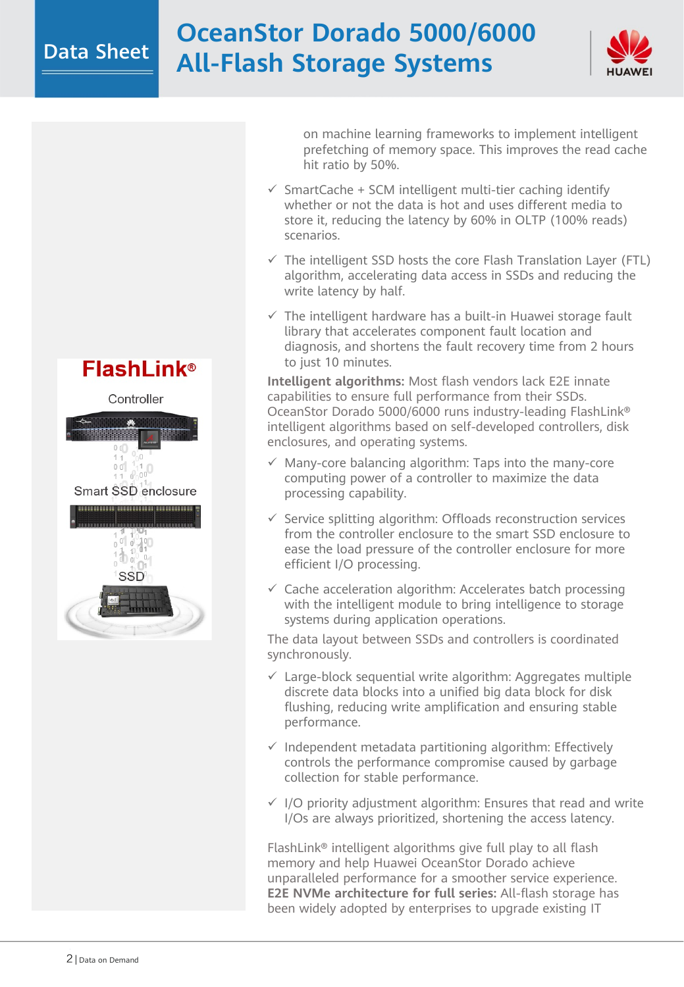### Data Sheet

# **OceanStor Dorado 5000/6000 All-Flash Storage Systems**



Controller Smart SSD enclosure SSD

on machine learning frameworks to implement intelligent prefetching of memory space. This improves the read cache hit ratio by 50%.

- $\checkmark$  SmartCache + SCM intelligent multi-tier caching identify whether or not the data is hot and uses different media to store it, reducing the latency by 60% in OLTP (100% reads) scenarios.
- $\checkmark$  The intelligent SSD hosts the core Flash Translation Layer (FTL) algorithm, accelerating data access in SSDs and reducing the write latency by half.
- $\checkmark$  The intelligent hardware has a built-in Huawei storage fault library that accelerates component fault location and diagnosis, and shortens the fault recovery time from 2 hours to just 10 minutes.

**Intelligent algorithms:** Most flash vendors lack E2E innate capabilities to ensure full performance from their SSDs. OceanStor Dorado 5000/6000 runs industry-leading FlashLink® intelligent algorithms based on self-developed controllers, disk enclosures, and operating systems.

- $\checkmark$  Many-core balancing algorithm: Taps into the many-core computing power of a controller to maximize the data processing capability.
- $\checkmark$  Service splitting algorithm: Offloads reconstruction services from the controller enclosure to the smart SSD enclosure to ease the load pressure of the controller enclosure for more efficient I/O processing.
- $\checkmark$  Cache acceleration algorithm: Accelerates batch processing with the intelligent module to bring intelligence to storage systems during application operations.

The data layout between SSDs and controllers is coordinated synchronously.

- $\checkmark$  Large-block sequential write algorithm: Aggregates multiple discrete data blocks into a unified big data block for disk flushing, reducing write amplification and ensuring stable performance.
- $\checkmark$  Independent metadata partitioning algorithm: Effectively controls the performance compromise caused by garbage collection for stable performance.
- $\checkmark$  I/O priority adjustment algorithm: Ensures that read and write I/Os are always prioritized, shortening the access latency.

FlashLink® intelligent algorithms give full play to all flash memory and help Huawei OceanStor Dorado achieve unparalleled performance for a smoother service experience. **E2E NVMe architecture for full series:** All-flash storage has been widely adopted by enterprises to upgrade existing IT

## **FlashLink®**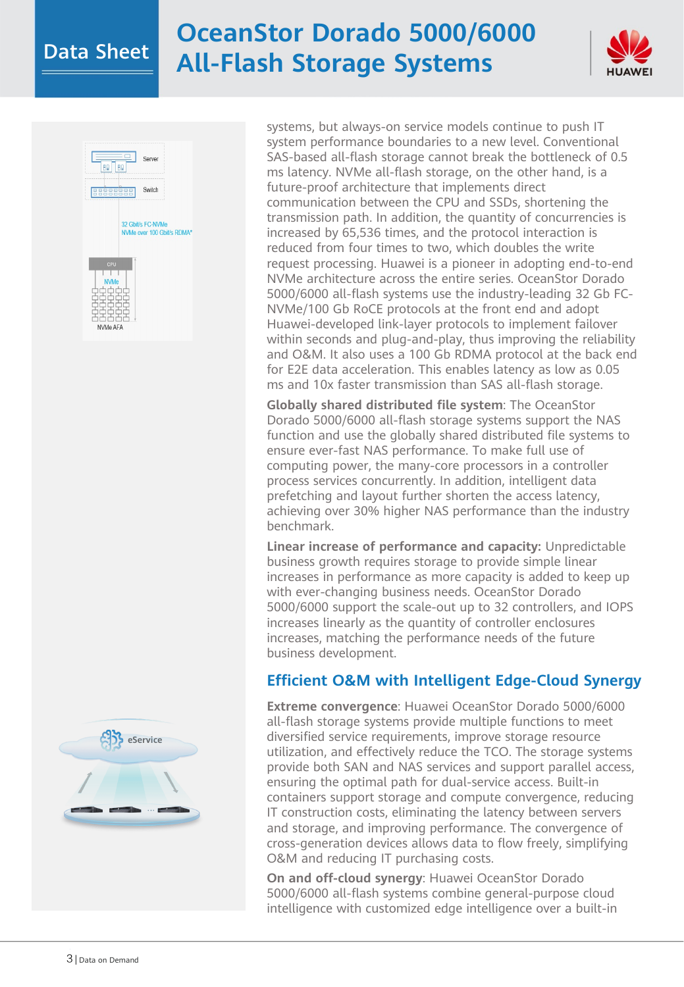# Data Sheet **OceanStor Dorado 5000/6000 All-Flash Storage Systems**







systems, but always-on service models continue to push IT system performance boundaries to a new level. Conventional SAS-based all-flash storage cannot break the bottleneck of 0.5 ms latency. NVMe all-flash storage, on the other hand, is a future-proof architecture that implements direct communication between the CPU and SSDs, shortening the transmission path. In addition, the quantity of concurrencies is increased by 65,536 times, and the protocol interaction is reduced from four times to two, which doubles the write request processing. Huawei is a pioneer in adopting end-to-end NVMe architecture across the entire series. OceanStor Dorado 5000/6000 all-flash systems use the industry-leading 32 Gb FC-NVMe/100 Gb RoCE protocols at the front end and adopt Huawei-developed link-layer protocols to implement failover within seconds and plug-and-play, thus improving the reliability and O&M. It also uses a 100 Gb RDMA protocol at the back end for E2E data acceleration. This enables latency as low as 0.05 ms and 10x faster transmission than SAS all-flash storage.

**Globally shared distributed file system**: The OceanStor Dorado 5000/6000 all-flash storage systems support the NAS function and use the globally shared distributed file systems to ensure ever-fast NAS performance. To make full use of computing power, the many-core processors in a controller process services concurrently. In addition, intelligent data prefetching and layout further shorten the access latency, achieving over 30% higher NAS performance than the industry benchmark.

**Linear increase of performance and capacity:** Unpredictable business growth requires storage to provide simple linear increases in performance as more capacity is added to keep up with ever-changing business needs. OceanStor Dorado 5000/6000 support the scale-out up to 32 controllers, and IOPS increases linearly as the quantity of controller enclosures increases, matching the performance needs of the future business development.

### **Efficient O&M with Intelligent Edge-Cloud Synergy**

**Extreme convergence**: Huawei OceanStor Dorado 5000/6000 all-flash storage systems provide multiple functions to meet diversified service requirements, improve storage resource utilization, and effectively reduce the TCO. The storage systems provide both SAN and NAS services and support parallel access, ensuring the optimal path for dual-service access. Built-in containers support storage and compute convergence, reducing IT construction costs, eliminating the latency between servers and storage, and improving performance. The convergence of cross-generation devices allows data to flow freely, simplifying O&M and reducing IT purchasing costs.

**On and off-cloud synergy**: Huawei OceanStor Dorado 5000/6000 all-flash systems combine general-purpose cloud intelligence with customized edge intelligence over a built-in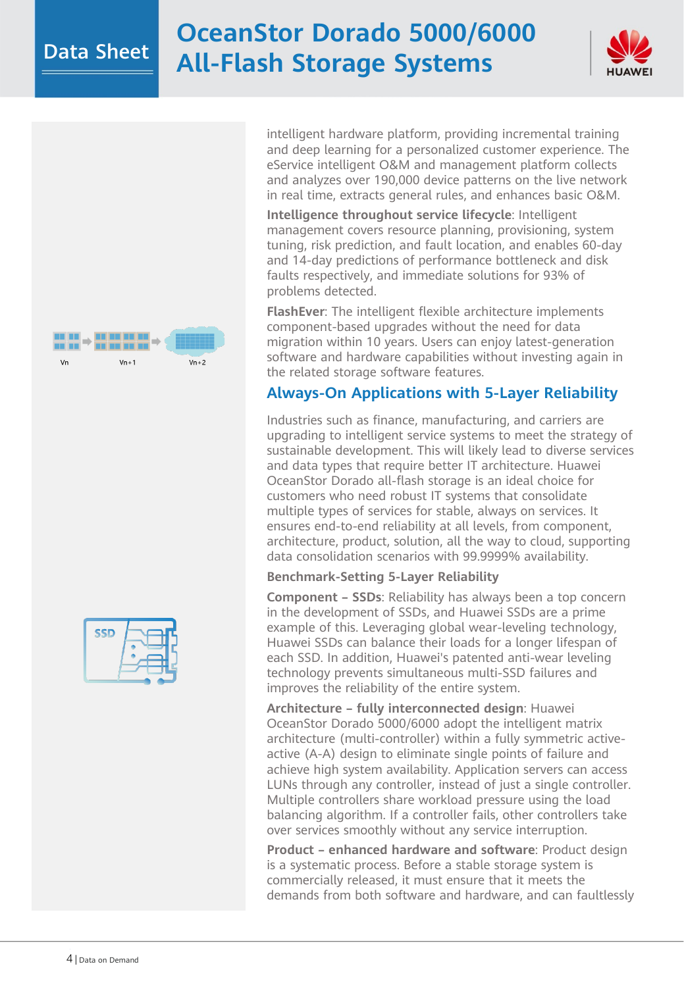# Data Sheet **OceanStor Dorado 5000/6000 All-Flash Storage Systems**







intelligent hardware platform, providing incremental training and deep learning for a personalized customer experience. The eService intelligent O&M and management platform collects and analyzes over 190,000 device patterns on the live network in real time, extracts general rules, and enhances basic O&M.

**Intelligence throughout service lifecycle**: Intelligent management covers resource planning, provisioning, system tuning, risk prediction, and fault location, and enables 60-day and 14-day predictions of performance bottleneck and disk faults respectively, and immediate solutions for 93% of problems detected.

**FlashEver**: The intelligent flexible architecture implements component-based upgrades without the need for data migration within 10 years. Users can enjoy latest-generation software and hardware capabilities without investing again in the related storage software features.

### **Always-On Applications with 5-Layer Reliability**

Industries such as finance, manufacturing, and carriers are upgrading to intelligent service systems to meet the strategy of sustainable development. This will likely lead to diverse services and data types that require better IT architecture. Huawei OceanStor Dorado all-flash storage is an ideal choice for customers who need robust IT systems that consolidate multiple types of services for stable, always on services. It ensures end-to-end reliability at all levels, from component, architecture, product, solution, all the way to cloud, supporting data consolidation scenarios with 99.9999% availability.

#### **Benchmark-Setting 5-Layer Reliability**

**Component – SSDs**: Reliability has always been a top concern in the development of SSDs, and Huawei SSDs are a prime example of this. Leveraging global wear-leveling technology, Huawei SSDs can balance their loads for a longer lifespan of each SSD. In addition, Huawei's patented anti-wear leveling technology prevents simultaneous multi-SSD failures and improves the reliability of the entire system.

**Architecture – fully interconnected design**: Huawei OceanStor Dorado 5000/6000 adopt the intelligent matrix architecture (multi-controller) within a fully symmetric activeactive (A-A) design to eliminate single points of failure and achieve high system availability. Application servers can access LUNs through any controller, instead of just a single controller. Multiple controllers share workload pressure using the load balancing algorithm. If a controller fails, other controllers take over services smoothly without any service interruption.

**Product – enhanced hardware and software**: Product design is a systematic process. Before a stable storage system is commercially released, it must ensure that it meets the demands from both software and hardware, and can faultlessly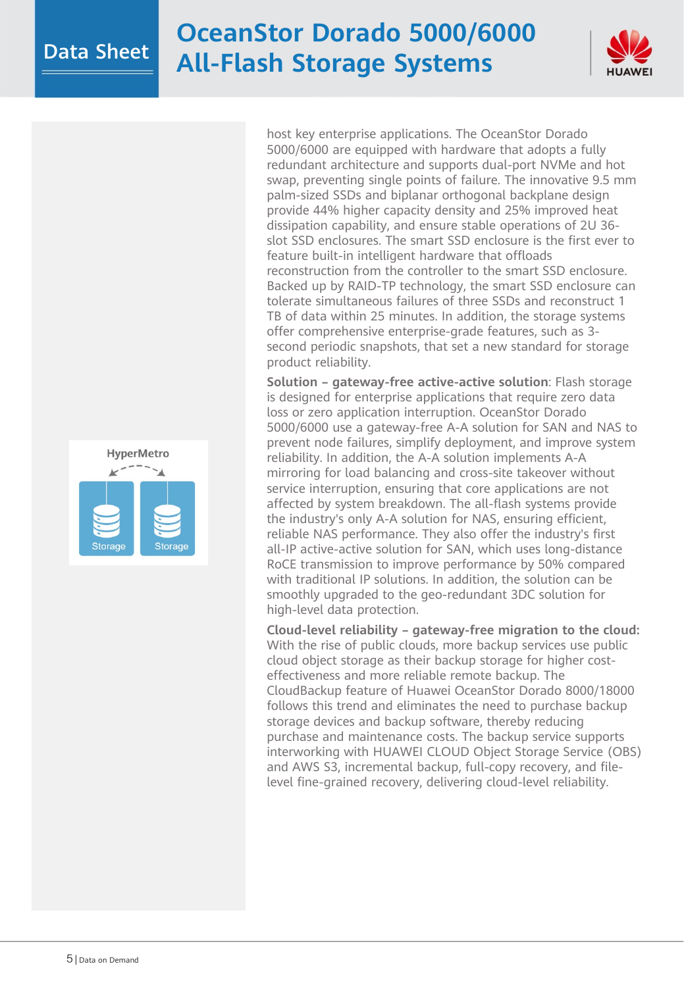# Data Sheet **OceanStor Dorado 5000/6000 All-Flash Storage Systems**



host key enterprise applications. The OceanStor Dorado 5000/6000 are equipped with hardware that adopts a fully redundant architecture and supports dual-port NVMe and hot swap, preventing single points of failure. The innovative 9.5 mm palm-sized SSDs and biplanar orthogonal backplane design provide 44% higher capacity density and 25% improved heat dissipation capability, and ensure stable operations of 2U 36 slot SSD enclosures. The smart SSD enclosure is the first ever to feature built-in intelligent hardware that offloads reconstruction from the controller to the smart SSD enclosure. Backed up by RAID-TP technology, the smart SSD enclosure can tolerate simultaneous failures of three SSDs and reconstruct 1 TB of data within 25 minutes. In addition, the storage systems offer comprehensive enterprise-grade features, such as 3 second periodic snapshots, that set a new standard for storage product reliability.

**Solution – gateway-free active-active solution**: Flash storage is designed for enterprise applications that require zero data loss or zero application interruption. OceanStor Dorado 5000/6000 use a gateway-free A-A solution for SAN and NAS to prevent node failures, simplify deployment, and improve system reliability. In addition, the A-A solution implements A-A mirroring for load balancing and cross-site takeover without service interruption, ensuring that core applications are not affected by system breakdown. The all-flash systems provide the industry's only A-A solution for NAS, ensuring efficient, reliable NAS performance. They also offer the industry's first all-IP active-active solution for SAN, which uses long-distance RoCE transmission to improve performance by 50% compared with traditional IP solutions. In addition, the solution can be smoothly upgraded to the geo-redundant 3DC solution for high-level data protection.

**Cloud-level reliability – gateway-free migration to the cloud:**  With the rise of public clouds, more backup services use public cloud object storage as their backup storage for higher costeffectiveness and more reliable remote backup. The CloudBackup feature of Huawei OceanStor Dorado 8000/18000 follows this trend and eliminates the need to purchase backup storage devices and backup software, thereby reducing purchase and maintenance costs. The backup service supports interworking with HUAWEI CLOUD Object Storage Service (OBS) and AWS S3, incremental backup, full-copy recovery, and filelevel fine-grained recovery, delivering cloud-level reliability.

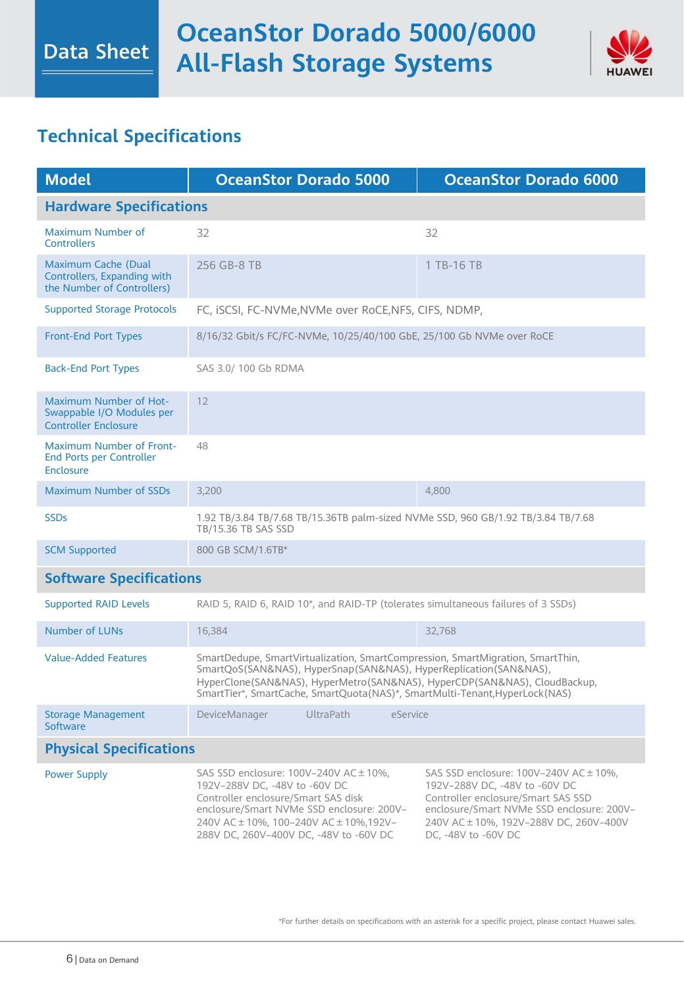

### **Technical Specifications**

| <b>Model</b>                                                                              | <b>OceanStor Dorado 5000</b>                                                                                                                                                                                                                                                                                    | <b>OceanStor Dorado 6000</b>                                                                                                                                                                                                |  |
|-------------------------------------------------------------------------------------------|-----------------------------------------------------------------------------------------------------------------------------------------------------------------------------------------------------------------------------------------------------------------------------------------------------------------|-----------------------------------------------------------------------------------------------------------------------------------------------------------------------------------------------------------------------------|--|
| <b>Hardware Specifications</b>                                                            |                                                                                                                                                                                                                                                                                                                 |                                                                                                                                                                                                                             |  |
| Maximum Number of<br><b>Controllers</b>                                                   | 32                                                                                                                                                                                                                                                                                                              | 32                                                                                                                                                                                                                          |  |
| <b>Maximum Cache (Dual</b><br>Controllers, Expanding with<br>the Number of Controllers)   | 256 GB-8 TB                                                                                                                                                                                                                                                                                                     | 1 TB-16 TB                                                                                                                                                                                                                  |  |
| <b>Supported Storage Protocols</b>                                                        | FC, iSCSI, FC-NVMe, NVMe over RoCE, NFS, CIFS, NDMP,                                                                                                                                                                                                                                                            |                                                                                                                                                                                                                             |  |
| <b>Front-End Port Types</b>                                                               | 8/16/32 Gbit/s FC/FC-NVMe, 10/25/40/100 GbE, 25/100 Gb NVMe over RoCE                                                                                                                                                                                                                                           |                                                                                                                                                                                                                             |  |
| <b>Back-End Port Types</b>                                                                | SAS 3.0/100 Gb RDMA                                                                                                                                                                                                                                                                                             |                                                                                                                                                                                                                             |  |
| <b>Maximum Number of Hot-</b><br>Swappable I/O Modules per<br><b>Controller Enclosure</b> | 12                                                                                                                                                                                                                                                                                                              |                                                                                                                                                                                                                             |  |
| <b>Maximum Number of Front-</b><br><b>End Ports per Controller</b><br>Enclosure           | 48                                                                                                                                                                                                                                                                                                              |                                                                                                                                                                                                                             |  |
| <b>Maximum Number of SSDs</b>                                                             | 3,200                                                                                                                                                                                                                                                                                                           | 4,800                                                                                                                                                                                                                       |  |
| <b>SSDs</b>                                                                               | 1.92 TB/3.84 TB/7.68 TB/15.36TB palm-sized NVMe SSD, 960 GB/1.92 TB/3.84 TB/7.68<br>TB/15.36 TB SAS SSD                                                                                                                                                                                                         |                                                                                                                                                                                                                             |  |
| <b>SCM Supported</b>                                                                      | 800 GB SCM/1.6TB*                                                                                                                                                                                                                                                                                               |                                                                                                                                                                                                                             |  |
| <b>Software Specifications</b>                                                            |                                                                                                                                                                                                                                                                                                                 |                                                                                                                                                                                                                             |  |
| <b>Supported RAID Levels</b>                                                              | RAID 5, RAID 6, RAID 10*, and RAID-TP (tolerates simultaneous failures of 3 SSDs)                                                                                                                                                                                                                               |                                                                                                                                                                                                                             |  |
| <b>Number of LUNs</b>                                                                     | 16,384                                                                                                                                                                                                                                                                                                          | 32,768                                                                                                                                                                                                                      |  |
| <b>Value-Added Features</b>                                                               | SmartDedupe, SmartVirtualization, SmartCompression, SmartMigration, SmartThin,<br>SmartQoS(SAN&NAS), HyperSnap(SAN&NAS), HyperReplication(SAN&NAS),<br>HyperClone(SAN&NAS), HyperMetro(SAN&NAS), HyperCDP(SAN&NAS), CloudBackup,<br>SmartTier*, SmartCache, SmartQuota(NAS)*, SmartMulti-Tenant, HyperLock(NAS) |                                                                                                                                                                                                                             |  |
| <b>Storage Management</b><br>Software                                                     | <b>UltraPath</b><br>DeviceManager<br>eService                                                                                                                                                                                                                                                                   |                                                                                                                                                                                                                             |  |
| <b>Physical Specifications</b>                                                            |                                                                                                                                                                                                                                                                                                                 |                                                                                                                                                                                                                             |  |
| <b>Power Supply</b>                                                                       | SAS SSD enclosure: $100V-240V$ AC $\pm$ 10%,<br>192V-288V DC, -48V to -60V DC<br>Controller enclosure/Smart SAS disk<br>enclosure/Smart NVMe SSD enclosure: 200V-<br>240V AC ± 10%, 100-240V AC ± 10%, 192V-<br>288V DC, 260V-400V DC, -48V to -60V DC                                                          | SAS SSD enclosure: 100V-240V AC ± 10%,<br>192V-288V DC, -48V to -60V DC<br>Controller enclosure/Smart SAS SSD<br>enclosure/Smart NVMe SSD enclosure: 200V-<br>240V AC ± 10%, 192V-288V DC, 260V-400V<br>DC, -48V to -60V DC |  |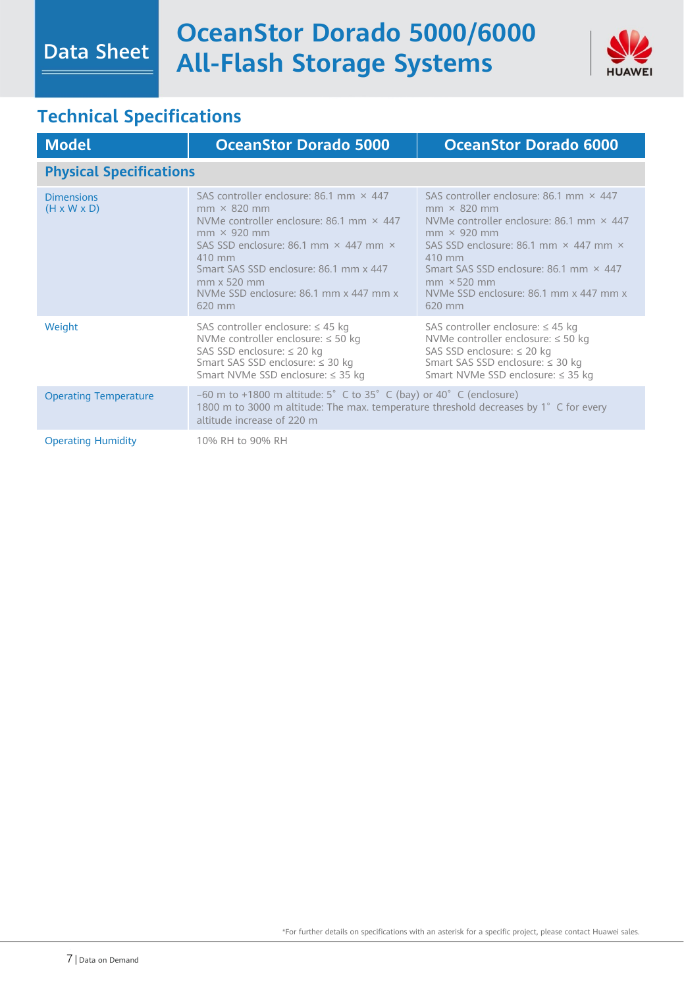

## **Technical Specifications**

| <b>Model</b>                                 | <b>OceanStor Dorado 5000</b>                                                                                                                                                                                                                                                                                                                 | <b>OceanStor Dorado 6000</b>                                                                                                                                                                                                                                                                                                       |  |
|----------------------------------------------|----------------------------------------------------------------------------------------------------------------------------------------------------------------------------------------------------------------------------------------------------------------------------------------------------------------------------------------------|------------------------------------------------------------------------------------------------------------------------------------------------------------------------------------------------------------------------------------------------------------------------------------------------------------------------------------|--|
| <b>Physical Specifications</b>               |                                                                                                                                                                                                                                                                                                                                              |                                                                                                                                                                                                                                                                                                                                    |  |
| <b>Dimensions</b><br>$(H \times W \times D)$ | SAS controller enclosure: 86.1 mm $\times$ 447<br>$mm \times 820 mm$<br>NVMe controller enclosure: 86.1 mm $\times$ 447<br>$mm \times 920 mm$<br>SAS SSD enclosure: 86.1 mm $\times$ 447 mm $\times$<br>$410 \text{ mm}$<br>Smart SAS SSD enclosure: 86.1 mm x 447<br>$mm \times 520$ mm<br>NVMe SSD enclosure: 86.1 mm x 447 mm x<br>620 mm | SAS controller enclosure: 86.1 mm $\times$ 447<br>$mm \times$ 820 mm<br>NVMe controller enclosure: 86.1 mm $\times$ 447<br>$mm \times 920 mm$<br>SAS SSD enclosure: 86.1 mm $\times$ 447 mm $\times$<br>410 mm<br>Smart SAS SSD enclosure: 86.1 mm × 447<br>$mm \times 520$ mm<br>NVMe SSD enclosure: 86.1 mm x 447 mm x<br>620 mm |  |
| Weight                                       | SAS controller enclosure: $\leq$ 45 kg<br>NVMe controller enclosure: $\leq 50$ kg<br>SAS SSD enclosure: $\leq$ 20 kg<br>Smart SAS SSD enclosure: ≤ 30 kg<br>Smart NVMe SSD enclosure: $\leq$ 35 kg                                                                                                                                           | SAS controller enclosure: $\leq$ 45 kg<br>NVMe controller enclosure: $\leq$ 50 kg<br>SAS SSD enclosure: $\leq$ 20 kg<br>Smart SAS SSD enclosure: ≤ 30 kg<br>Smart NVMe SSD enclosure: ≤ 35 kg                                                                                                                                      |  |
| <b>Operating Temperature</b>                 | $-60$ m to +1800 m altitude: 5° C to 35° C (bay) or 40° C (enclosure)<br>1800 m to 3000 m altitude: The max. temperature threshold decreases by 1° C for every<br>altitude increase of 220 m                                                                                                                                                 |                                                                                                                                                                                                                                                                                                                                    |  |
| <b>Operating Humidity</b>                    | 10% RH to 90% RH                                                                                                                                                                                                                                                                                                                             |                                                                                                                                                                                                                                                                                                                                    |  |